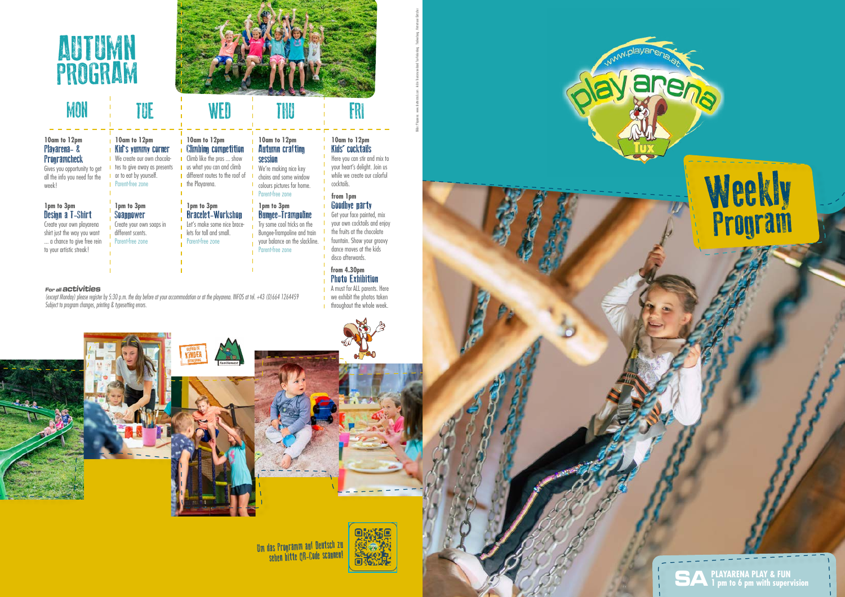**SAPLAYARENA PLAY & FUN 1 pm to 6 pm with supervision**

# **Weekly** Program

(except Monday) please register by 5:30 p.m. the day before at your accommodation or at the playarena. INFOS at tel. +43 (0)664 1264459 Subject to program changes, printing & typesetting errors.

#### **For all activities**

#### **10am to 12pm** Playarena- & **Programcheck**

#### **1pm to 3pm** Design a T-Shirt

**10am to 12pm** Kid's yummy corner **I** We create our own chocola**t** tes to give away as presents **I** or to eat by yourself. **I** Parent-free zone



# MON TUE THE WED TINU THE FRI

Gives you opportunity to get all the info you need for the week!

Create your own playarena shirt just the way you want ... a chance to give free rein to your artistic streak!

**1pm to 3pm Soannower** Create your own soaps in different scents. Parent-free zone

**1pm to 3pm**

**the Playarena.** 

Bracelet-Workshop Let's make some nice bracelets for tall and small. Parent-free zone

#### **from 1pm Goodhye narty**

**10am to 12pm** Climbing competition Climb like the pros ... show **u** us what you can and climb different routes to the roof of

#### **10am to 12pm Autumn crafting** session

We're making nice key chains and some window colours pictures for home. Parent-free zone

#### **1pm to 3pm** Bungee-Trampoline

Try some cool tricks on the Bungee-Trampoline and train your balance on the slackline. Parent-free zone

**10am to 12pm** Kids' cocktails

Here you can stir and mix to your heart's delight. Join us while we create our colorful cocktails.

Get your face painted, mix your own cocktails and enjoy the fruits at the chocolate fountain. Show your groovy dance moves at the kids disco afterwards.

#### **from 4.30pm** Photo Exhibition

**A** must for ALL parents. Here we exhibit the photos taken **throughout the whole week.** 









Um das Programm auf Deutsch zu sehen bitte QR-Code scannen!





Bilder: Playarena . www.shutterstock.com . Archiv Tourismusverband Tux-Finkenberg . Tirolwerbung . Hintertuxer Gletscher